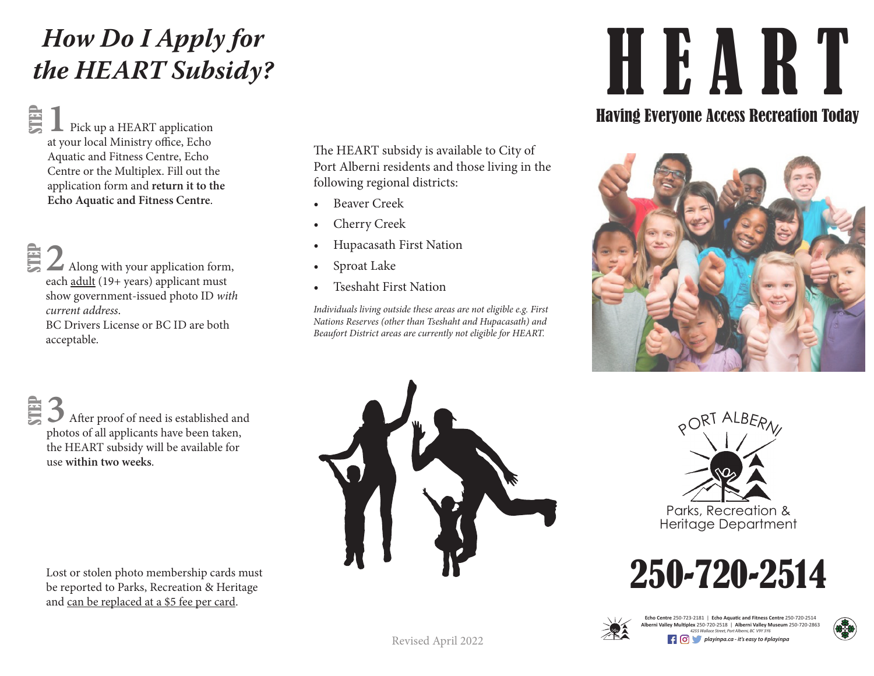## *How Do I Apply for the HEART Subsidy?*

STEP **1** Pick up a HEART application at your local Ministry office, Echo Aquatic and Fitness Centre, Echo Centre or the Multiplex. Fill out the application form and **return it to the Echo Aquatic and Fitness Centre**.

**2** Along with your application form, each adult (19+ years) applicant must show government-issued photo ID *with current address*. STEP

BC Drivers License or BC ID are both acceptable.

The HEART subsidy is available to City of Port Alberni residents and those living in the following regional districts:

- Beaver Creek
- Cherry Creek
- Hupacasath First Nation
- Sproat Lake
- Tseshaht First Nation

*Individuals living outside these areas are not eligible e.g. First Nations Reserves (other than Tseshaht and Hupacasath) and Beaufort District areas are currently not eligible for HEART.*

# HEART

### Having Everyone Access Recreation Today



**3** After proof of need is established and photos of all applicants have been taken, the HEART subsidy will be available for use **within two weeks**. STEP

Lost or stolen photo membership cards must be reported to Parks, Recreation & Heritage and can be replaced at a \$5 fee per card.









Echo Centre 250-723-2181 | Echo Aquatic and Fitness Centre 250-720-2514<br>Alberni Valley Multiplex 250-720-2518 | Alberni Valley Museum 250-720-2863<br>4255 Wallace Street, Port Alberni, BC V9Y 3Y6 *playinpa.ca - it's easy to #playinpa*